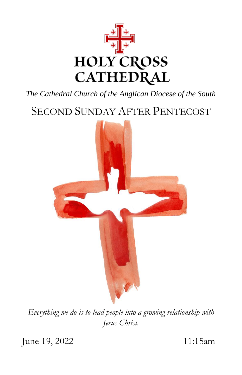

## *The Cathedral Church of the Anglican Diocese of the South*

# SECOND SUNDAY AFTER PENTECOST



*Everything we do is to lead people into a growing relationship with Jesus Christ.*

June 19, 2022 11:15am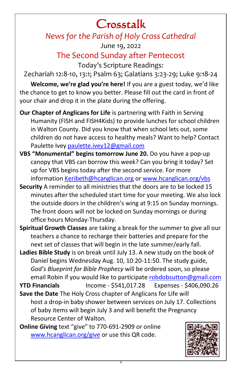# **Crosstalk**

*News for the Parish of Holy Cross Cathedral*

June 19, 2022

The Second Sunday after Pentecost

Today's Scripture Readings:

Zechariah 12:8-10, 13:1; Psalm 63; Galatians 3:23-29; Luke 9:18-24

**Welcome, we're glad you're here!** If you are a guest today, we'd like the chance to get to know you better. Please fill out the card in front of your chair and drop it in the plate during the offering.

- **Our Chapter of Anglicans for Life** is partnering with Faith in Serving Humanity (FISH and FISH4Kids) to provide lunches for school children in Walton County. Did you know that when school lets out, some children do not have access to healthy meals? Want to help? Contact Paulette Ivey [paulette.ivey12@gmail.com](mailto:paulette.ivey12@gmail.com)
- **VBS "Monumental" begins tomorrow June 20.** Do you have a pop-up canopy that VBS can borrow this week? Can you bring it today? Set up for VBS begins today after the second service. For more information [Keribeth@hcanglican.org](mailto:Keribeth@hcanglican.org) o[r www.hcanglican.org/vbs](http://www.hcanglican.org/vbs)
- **Security** A reminder to all ministries that the doors are to be locked 15 minutes after the scheduled start time for your meeting. We also lock the outside doors in the children's wing at 9:15 on Sunday mornings. The front doors will not be locked on Sunday mornings or during office hours Monday-Thursday.
- **Spiritual Growth Classes** are taking a break for the summer to give all our teachers a chance to recharge their batteries and prepare for the next set of classes that will begin in the late summer/early fall.
- **Ladies Bible Study** is on break until July 13. A new study on the book of Daniel begins Wednesday Aug. 10, 10:20-11:50. The study guide, *God's Blueprint for Bible Prophecy* will be ordered soon, so please email Robin if you would like to participate [robdobsutton@gmail.com](mailto:robdobsutton@gmail.com)

**YTD Financials** Income - \$541,017.28 Expenses - \$406,090.26

*A Note to Parents: Children are welcome to remain with you for the whole*  **Save the Date** The Holy Cross chapter of Anglicans for Life will host a drop-in baby shower between services on July 17. Collections of baby items will begin July 3 and will benefit the Pregnancy Resource Center of Walton.

1

**Online Giving text "give" to 770-691-2909 or online <b>同無解**圖 [www.hcanglican.org/give](http://www.hcanglican.org/give) or use this QR code.

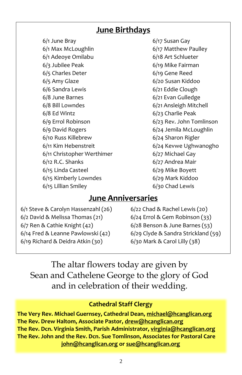## **June Birthdays**

6/1 June Bray **6/17** Susan Gay 6/1 Max McLoughlin 6/17 Matthew Paulley 6/1 Adeoye Omilabu 6/18 Art Schlueter 6/3 Jubilee Peak 6/19 Mike Fairman 6/5 Charles Deter 6/19 Gene Reed 6/5 Amy Glaze 6/20 Susan Kiddoo 6/6 Sandra Lewis 6/21 Eddie Clough 6/8 June Barnes 6/21 Evan Gulledge 6/8 Bill Lowndes 6/21 Ansleigh Mitchell 6/8 Ed Wintz 6/23 Charlie Peak 6/9 David Rogers 6/24 Jemila McLoughlin 6/10 Russ Killebrew 6/24 Sharon Rigler 6/11 Christopher Werthimer 6/27 Michael Gay 6/12 R.C. Shanks 6/27 Andrea Mair 6/15 Linda Casteel 6/29 Mike Boyett 6/15 Kimberly Lowndes 6/29 Mark Kiddoo 6/15 Lillian Smiley 6/30 Chad Lewis

6/9 Errol Robinson 6/23 Rev. John Tomlinson 6/11 Kim Hebenstreit 6/24 Kevwe Ughwanogho

### **June Anniversaries**

6/1 Steve & Carolyn Hassenzahl (26) 6/22 Chad & Rachel Lewis (20)  $6/2$  David & Melissa Thomas (21) 6/24 Errol & Gem Robinson (33)  $6/7$  Ren & Cathie Knight  $(42)$  6/28 Benson & June Barnes  $(53)$ 6/14 Fred & Leanne Pawlowski (42) 6/29 Clyde & Sandra Strickland (59) 6/19 Richard & Deidra Atkin (30) 6/30 Mark & Carol Lilly (38)

The altar flowers today are given by Sean and Cathelene George to the glory of God and in celebration of their wedding.

#### **Cathedral Staff Clergy**

**The Very Rev. Michael Guernsey, Cathedral Dean, [michael@hcanglican.org](mailto:michael@hcanglican.org) The Rev. Drew Haltom, Associate Pastor, [drew@hcanglican.org](mailto:drew@hcanglican.org) The Rev. Dcn. Virginia Smith, Parish Administrator, [virginia@hcanglican.org](mailto:virginia@hcanglican.org) The Rev. John and the Rev. Dcn. Sue Tomlinson, Associates for Pastoral Care [john@hcanglican.org](mailto:john@hcanglican.org) o[r sue@hcanglican.org](mailto:sue@hcanglican.org)**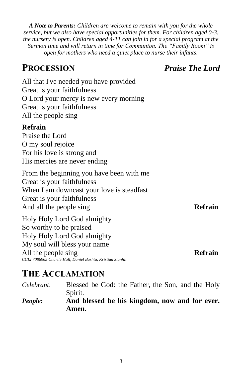### **PROCESSION** *Praise The Lord*

All that I've needed you have provided Great is your faithfulness O Lord your mercy is new every morning Great is your faithfulness All the people sing

#### **Refrain**

Praise the Lord O my soul rejoice For his love is strong and His mercies are never ending

From the beginning you have been with me Great is your faithfulness When I am downcast your love is steadfast Great is your faithfulness And all the people sing **Refrain** 

Holy Holy Lord God almighty So worthy to be praised Holy Holy Lord God almighty My soul will bless your name All the people sing **Refrain** *CCLI 7086965 Charlie Hall, Daniel Bashta, Kristian Stanfill*

## **THE ACCLAMATION**

*Celebrant:* Blessed be God: the Father, the Son, and the Holy Spirit. *People:* **And blessed be his kingdom, now and for ever. Amen.**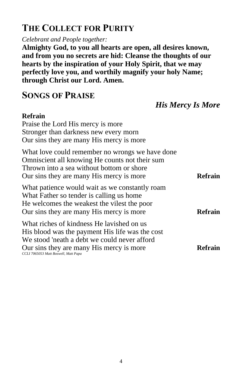# **THE COLLECT FOR PURITY**

#### *Celebrant and People together:*

**Almighty God, to you all hearts are open, all desires known, and from you no secrets are hid: Cleanse the thoughts of our hearts by the inspiration of your Holy Spirit, that we may perfectly love you, and worthily magnify your holy Name; through Christ our Lord. Amen.**

## **SONGS OF PRAISE**

#### *His Mercy Is More*

#### **Refrain**

| Praise the Lord His mercy is more<br>Stronger than darkness new every morn<br>Our sins they are many His mercy is more                                                                                                           |                |
|----------------------------------------------------------------------------------------------------------------------------------------------------------------------------------------------------------------------------------|----------------|
| What love could remember no wrongs we have done<br>Omniscient all knowing He counts not their sum<br>Thrown into a sea without bottom or shore<br>Our sins they are many His mercy is more                                       | <b>Refrain</b> |
| What patience would wait as we constantly roam<br>What Father so tender is calling us home<br>He welcomes the weakest the vilest the poor<br>Our sins they are many His mercy is more                                            | Refrain        |
| What riches of kindness He lavished on us<br>His blood was the payment His life was the cost<br>We stood 'neath a debt we could never afford<br>Our sins they are many His mercy is more<br>CCLI 7065053 Matt Boswell, Matt Papa | Refra          |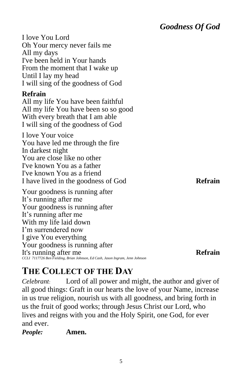# *Goodness Of God*

I love You Lord Oh Your mercy never fails me All my days I've been held in Your hands From the moment that I wake up Until I lay my head I will sing of the goodness of God

#### **Refrain**

All my life You have been faithful All my life You have been so so good With every breath that I am able I will sing of the goodness of God

I love Your voice You have led me through the fire In darkest night You are close like no other I've known You as a father I've known You as a friend I have lived in the goodness of God **Refrain**

Your goodness is running after It's running after me Your goodness is running after It's running after me With my life laid down I'm surrendered now I give You everything Your goodness is running after It's running after me **Refrain** *CCLI 7117726 Ben Fielding, Brian Johnson, Ed Cash, Jason Ingram, Jenn Johnson*

# **THE COLLECT OF THE DAY**

*Celebrant:* Lord of all power and might, the author and giver of all good things: Graft in our hearts the love of your Name, increase in us true religion, nourish us with all goodness, and bring forth in us the fruit of good works; through Jesus Christ our Lord, who lives and reigns with you and the Holy Spirit, one God, for ever and ever.

*People:* **Amen.**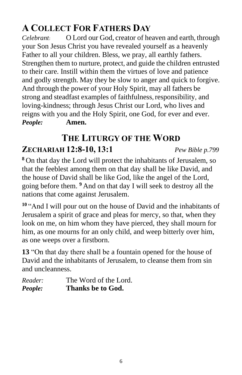# **A COLLECT FOR FATHERS DAY**

*Celebrant:* O Lord our God, creator of heaven and earth, through your Son Jesus Christ you have revealed yourself as a heavenly Father to all your children. Bless, we pray, all earthly fathers. Strengthen them to nurture, protect, and guide the children entrusted to their care. Instill within them the virtues of love and patience and godly strength. May they be slow to anger and quick to forgive. And through the power of your Holy Spirit, may all fathers be strong and steadfast examples of faithfulness, responsibility, and loving-kindness; through Jesus Christ our Lord, who lives and reigns with you and the Holy Spirit, one God, for ever and ever. *People:* **Amen.**

## **THE LITURGY OF THE WORD**

## **ZECHARIAH 12:8-10, 13:1** *Pew Bible p.799*

**<sup>8</sup>** On that day the Lord will protect the inhabitants of Jerusalem, so that the feeblest among them on that day shall be like David, and the house of David shall be like God, like the angel of the Lord, going before them. **<sup>9</sup>** And on that day I will seek to destroy all the nations that come against Jerusalem.

**<sup>10</sup>** "And I will pour out on the house of David and the inhabitants of Jerusalem a spirit of grace and pleas for mercy, so that, when they look on me, on him whom they have pierced, they shall mourn for him, as one mourns for an only child, and weep bitterly over him, as one weeps over a firstborn.

**13** "On that day there shall be a fountain opened for the house of David and the inhabitants of Jerusalem, to cleanse them from sin and uncleanness.

*Reader:* The Word of the Lord. *People:* **Thanks be to God.**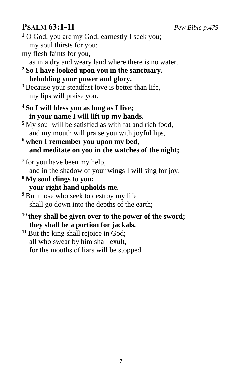## **PSALM 63:1-11** *Pew Bible p.479*

**<sup>1</sup>** O God, you are my God; earnestly I seek you; my soul thirsts for you;

my flesh faints for you,

as in a dry and weary land where there is no water.

**<sup>2</sup> So I have looked upon you in the sanctuary, beholding your power and glory.**

**<sup>3</sup>** Because your steadfast love is better than life, my lips will praise you.

**<sup>4</sup> So I will bless you as long as I live; in your name I will lift up my hands.**

**<sup>5</sup>** My soul will be satisfied as with fat and rich food, and my mouth will praise you with joyful lips,

#### **<sup>6</sup> when I remember you upon my bed, and meditate on you in the watches of the night;**

**7** for you have been my help, and in the shadow of your wings I will sing for joy.

**<sup>8</sup> My soul clings to you; your right hand upholds me.**

**<sup>9</sup>** But those who seek to destroy my life shall go down into the depths of the earth;

**<sup>10</sup> they shall be given over to the power of the sword; they shall be a portion for jackals.**

**<sup>11</sup>** But the king shall rejoice in God; all who swear by him shall exult, for the mouths of liars will be stopped.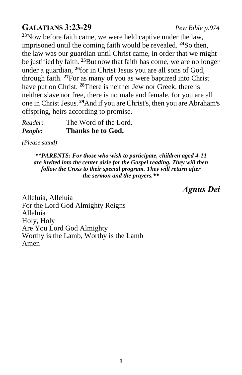### **GALATIANS 3:23-29** *Pew Bible p.974*

**<sup>23</sup>**Now before faith came, we were held captive under the law, imprisoned until the coming faith would be revealed. **<sup>24</sup>**So then, the law was our guardian until Christ came, in order that we might be justified by faith. **<sup>25</sup>**But now that faith has come, we are no longer under a guardian, **<sup>26</sup>**for in Christ Jesus you are all sons of God, through faith. **<sup>27</sup>**For as many of you as were baptized into Christ have put on Christ. **<sup>28</sup>**There is neither Jew nor Greek, there is neither slave nor free, there is no male and female, for you are all one in Christ Jesus. **<sup>29</sup>**And if you are Christ's, then you are Abraham's offspring, heirs according to promise.

| Reader: | The Word of the Lord. |
|---------|-----------------------|
| People: | Thanks be to God.     |

*(Please stand)*

*\*\*PARENTS: For those who wish to participate, children aged 4-11 are invited into the center aisle for the Gospel reading. They will then follow the Cross to their special program. They will return after the sermon and the prayers.\*\**

*Agnus Dei*

Alleluia, Alleluia For the Lord God Almighty Reigns Alleluia Holy, Holy Are You Lord God Almighty Worthy is the Lamb, Worthy is the Lamb Amen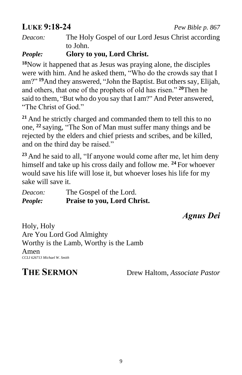## **LUKE 9:18-24** *Pew Bible p. 867*

*Deacon:* The Holy Gospel of our Lord Jesus Christ according to John.

#### *People:* **Glory to you, Lord Christ.**

**<sup>18</sup>**Now it happened that as Jesus was praying alone, the disciples were with him. And he asked them, "Who do the crowds say that I am?" **<sup>19</sup>**And they answered, "John the Baptist. But others say, Elijah, and others, that one of the prophets of old has risen." **<sup>20</sup>**Then he said to them, "But who do you say that I am?" And Peter answered, "The Christ of God."

**<sup>21</sup>** And he strictly charged and commanded them to tell this to no one, **<sup>22</sup>** saying, "The Son of Man must suffer many things and be rejected by the elders and chief priests and scribes, and be killed, and on the third day be raised."

**<sup>23</sup>** And he said to all, "If anyone would come after me, let him deny himself and take up his cross daily and follow me. **<sup>24</sup>** For whoever would save his life will lose it, but whoever loses his life for my sake will save it.

| People: | Praise to you, Lord Christ. |
|---------|-----------------------------|
| Deacon: | The Gospel of the Lord.     |

*Agnus Dei*

Holy, Holy Are You Lord God Almighty Worthy is the Lamb, Worthy is the Lamb Amen *CCLI 626713 Michael W. Smith* 

**THE SERMON** Drew Haltom, *Associate Pastor*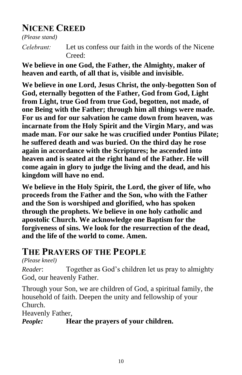# **NICENE CREED**

*(Please stand)*

*Celebrant:* Let us confess our faith in the words of the Nicene Creed:

**We believe in one God, the Father, the Almighty, maker of heaven and earth, of all that is, visible and invisible.**

**We believe in one Lord, Jesus Christ, the only-begotten Son of God, eternally begotten of the Father, God from God, Light from Light, true God from true God, begotten, not made, of one Being with the Father; through him all things were made. For us and for our salvation he came down from heaven, was incarnate from the Holy Spirit and the Virgin Mary, and was made man. For our sake he was crucified under Pontius Pilate; he suffered death and was buried. On the third day he rose again in accordance with the Scriptures; he ascended into heaven and is seated at the right hand of the Father. He will come again in glory to judge the living and the dead, and his kingdom will have no end.**

**We believe in the Holy Spirit, the Lord, the giver of life, who proceeds from the Father and the Son, who with the Father and the Son is worshiped and glorified, who has spoken through the prophets. We believe in one holy catholic and apostolic Church. We acknowledge one Baptism for the forgiveness of sins. We look for the resurrection of the dead, and the life of the world to come. Amen.**

## **THE PRAYERS OF THE PEOPLE**

*(Please kneel)*

*Reader*: Together as God's children let us pray to almighty God, our heavenly Father.

Through your Son, we are children of God, a spiritual family, the household of faith. Deepen the unity and fellowship of your Church.

Heavenly Father,

#### *People:* **Hear the prayers of your children.**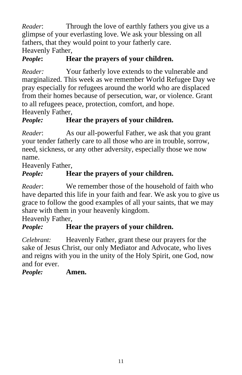*Reader*: Through the love of earthly fathers you give us a glimpse of your everlasting love. We ask your blessing on all fathers, that they would point to your fatherly care. Heavenly Father,

### *People***: Hear the prayers of your children.**

*Reader:* Your fatherly love extends to the vulnerable and marginalized. This week as we remember World Refugee Day we pray especially for refugees around the world who are displaced from their homes because of persecution, war, or violence. Grant to all refugees peace, protection, comfort, and hope. Heavenly Father,

### *People:* **Hear the prayers of your children.**

*Reader*: As our all-powerful Father, we ask that you grant your tender fatherly care to all those who are in trouble, sorrow, need, sickness, or any other adversity, especially those we now name.

Heavenly Father,

### *People:* **Hear the prayers of your children.**

*Reader*: We remember those of the household of faith who have departed this life in your faith and fear. We ask you to give us grace to follow the good examples of all your saints, that we may share with them in your heavenly kingdom.

Heavenly Father,

### *People:* **Hear the prayers of your children.**

*Celebrant:* Heavenly Father, grant these our prayers for the sake of Jesus Christ, our only Mediator and Advocate, who lives and reigns with you in the unity of the Holy Spirit, one God, now and for ever.

#### *People:* **Amen.**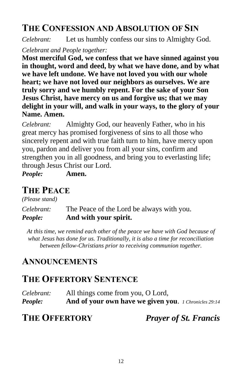## **THE CONFESSION AND ABSOLUTION OF SIN**

*Celebrant:* Let us humbly confess our sins to Almighty God.

*Celebrant and People together:*

**Most merciful God, we confess that we have sinned against you in thought, word and deed, by what we have done, and by what we have left undone. We have not loved you with our whole heart; we have not loved our neighbors as ourselves. We are truly sorry and we humbly repent. For the sake of your Son Jesus Christ, have mercy on us and forgive us; that we may delight in your will, and walk in your ways, to the glory of your Name. Amen.**

*Celebrant:* Almighty God, our heavenly Father, who in his great mercy has promised forgiveness of sins to all those who sincerely repent and with true faith turn to him, have mercy upon you, pardon and deliver you from all your sins, confirm and strengthen you in all goodness, and bring you to everlasting life; through Jesus Christ our Lord.

*People:* **Amen.**

# **THE PEACE**

*(Please stand)*

*Celebrant:* The Peace of the Lord be always with you. *People:* **And with your spirit.**

*At this time, we remind each other of the peace we have with God because of what Jesus has done for us. Traditionally, it is also a time for reconciliation between fellow-Christians prior to receiving communion together.*

# **ANNOUNCEMENTS**

# **THE OFFERTORY SENTENCE**

*Celebrant:* All things come from you, O Lord, *People:* **And of your own have we given you**. *1 Chronicles 29:14*

**THE OFFERTORY** *Prayer of St. Francis*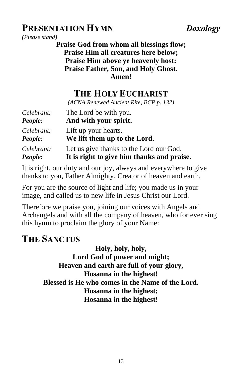## **PRESENTATION HYMN** *Doxology*

*(Please stand)*

#### **Praise God from whom all blessings flow; Praise Him all creatures here below; Praise Him above ye heavenly host: Praise Father, Son, and Holy Ghost. Amen!**

## **THE HOLY EUCHARIST**

*(ACNA Renewed Ancient Rite, BCP p. 132)*

| Celebrant: | The Lord be with you.                      |
|------------|--------------------------------------------|
| People:    | And with your spirit.                      |
| Celebrant: | Lift up your hearts.                       |
| People:    | We lift them up to the Lord.               |
| Celebrant: | Let us give thanks to the Lord our God.    |
| People:    | It is right to give him thanks and praise. |

It is right, our duty and our joy, always and everywhere to give thanks to you, Father Almighty, Creator of heaven and earth.

For you are the source of light and life; you made us in your image, and called us to new life in Jesus Christ our Lord.

Therefore we praise you, joining our voices with Angels and Archangels and with all the company of heaven, who for ever sing this hymn to proclaim the glory of your Name:

## **THE SANCTUS**

**Holy, holy, holy, Lord God of power and might; Heaven and earth are full of your glory, Hosanna in the highest! Blessed is He who comes in the Name of the Lord. Hosanna in the highest; Hosanna in the highest!**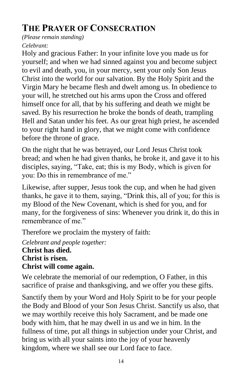# **THE PRAYER OF CONSECRATION**

*(Please remain standing) Celebrant:*

Holy and gracious Father: In your infinite love you made us for yourself; and when we had sinned against you and become subject to evil and death, you, in your mercy, sent your only Son Jesus Christ into the world for our salvation. By the Holy Spirit and the Virgin Mary he became flesh and dwelt among us. In obedience to your will, he stretched out his arms upon the Cross and offered himself once for all, that by his suffering and death we might be saved. By his resurrection he broke the bonds of death, trampling Hell and Satan under his feet. As our great high priest, he ascended to your right hand in glory, that we might come with confidence before the throne of grace.

On the night that he was betrayed, our Lord Jesus Christ took bread; and when he had given thanks, he broke it, and gave it to his disciples, saying, "Take, eat; this is my Body, which is given for you: Do this in remembrance of me."

Likewise, after supper, Jesus took the cup, and when he had given thanks, he gave it to them, saying, "Drink this, all of you; for this is my Blood of the New Covenant, which is shed for you, and for many, for the forgiveness of sins: Whenever you drink it, do this in remembrance of me."

Therefore we proclaim the mystery of faith:

*Celebrant and people together:* **Christ has died. Christ is risen. Christ will come again.**

We celebrate the memorial of our redemption, O Father, in this sacrifice of praise and thanksgiving, and we offer you these gifts.

Sanctify them by your Word and Holy Spirit to be for your people the Body and Blood of your Son Jesus Christ. Sanctify us also, that we may worthily receive this holy Sacrament, and be made one body with him, that he may dwell in us and we in him. In the fullness of time, put all things in subjection under your Christ, and bring us with all your saints into the joy of your heavenly kingdom, where we shall see our Lord face to face.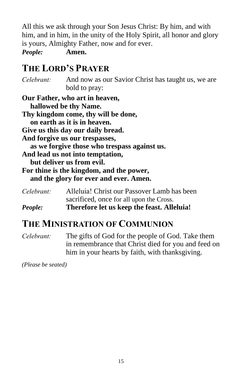All this we ask through your Son Jesus Christ: By him, and with him, and in him, in the unity of the Holy Spirit, all honor and glory is yours, Almighty Father, now and for ever.

*People:* **Amen.**

# **THE LORD'S PRAYER**

| Celebrant: | And now as our Savior Christ has taught us, we are<br>bold to pray: |
|------------|---------------------------------------------------------------------|
|            | Our Father, who art in heaven,<br>hallowed be thy Name.             |
|            | Thy kingdom come, thy will be done,<br>on earth as it is in heaven. |
|            | Give us this day our daily bread.                                   |
|            | And forgive us our trespasses,                                      |
|            | as we forgive those who trespass against us.                        |
|            | And lead us not into temptation,                                    |
|            | but deliver us from evil.                                           |
|            | For thine is the kingdom, and the power,                            |
|            | and the glory for ever and ever. Amen.                              |
| Celebrant: | Alleluia! Christ our Passover Lamb has been                         |
|            | sacrificed, once for all upon the Cross.                            |
| People:    | Therefore let us keep the feast. Alleluia!                          |

## **THE MINISTRATION OF COMMUNION**

*Celebrant:* The gifts of God for the people of God. Take them in remembrance that Christ died for you and feed on him in your hearts by faith, with thanksgiving.

*(Please be seated)*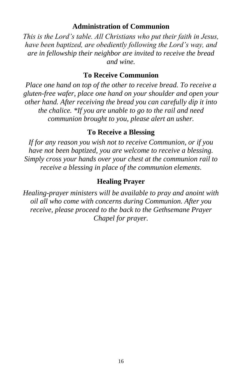#### **Administration of Communion**

*This is the Lord's table. All Christians who put their faith in Jesus, have been baptized, are obediently following the Lord's way, and are in fellowship their neighbor are invited to receive the bread and wine.*

#### **To Receive Communion**

*Place one hand on top of the other to receive bread. To receive a gluten-free wafer, place one hand on your shoulder and open your other hand. After receiving the bread you can carefully dip it into the chalice. \*If you are unable to go to the rail and need communion brought to you, please alert an usher.*

#### **To Receive a Blessing**

*If for any reason you wish not to receive Communion, or if you have not been baptized, you are welcome to receive a blessing. Simply cross your hands over your chest at the communion rail to receive a blessing in place of the communion elements.*

#### **Healing Prayer**

*Healing-prayer ministers will be available to pray and anoint with oil all who come with concerns during Communion. After you receive, please proceed to the back to the Gethsemane Prayer Chapel for prayer.*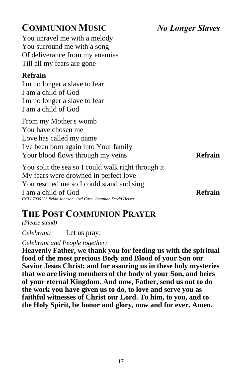| <b>COMMUNION MUSIC</b>                                                                                                                  | <b>No Longer Slaves</b> |
|-----------------------------------------------------------------------------------------------------------------------------------------|-------------------------|
| You unravel me with a melody                                                                                                            |                         |
| You surround me with a song                                                                                                             |                         |
| Of deliverance from my enemies                                                                                                          |                         |
| Till all my fears are gone                                                                                                              |                         |
| <b>Refrain</b>                                                                                                                          |                         |
| I'm no longer a slave to fear                                                                                                           |                         |
| I am a child of God                                                                                                                     |                         |
| I'm no longer a slave to fear                                                                                                           |                         |
| I am a child of God                                                                                                                     |                         |
| From my Mother's womb                                                                                                                   |                         |
| You have chosen me                                                                                                                      |                         |
| Love has called my name                                                                                                                 |                         |
| I've been born again into Your family                                                                                                   |                         |
| Your blood flows through my veins                                                                                                       | <b>Refrain</b>          |
| You split the sea so I could walk right through it<br>My fears were drowned in perfect love<br>You rescued me so I could stand and sing |                         |
|                                                                                                                                         |                         |

I am a child of God **Refrain** *CCLI 7030123 Brian Johnson, Joel Case, Jonathan David Helser*

# **THE POST COMMUNION PRAYER**

*(Please stand)*

*Celebrant:* Let us pray:

*Celebrant and People together:*

**Heavenly Father, we thank you for feeding us with the spiritual food of the most precious Body and Blood of your Son our Savior Jesus Christ; and for assuring us in these holy mysteries that we are living members of the body of your Son, and heirs of your eternal Kingdom. And now, Father, send us out to do the work you have given us to do, to love and serve you as faithful witnesses of Christ our Lord. To him, to you, and to the Holy Spirit, be honor and glory, now and for ever. Amen.**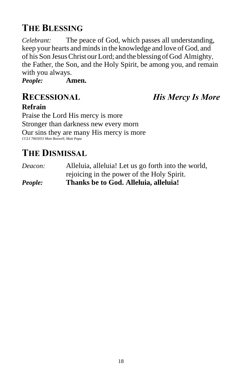# **THE BLESSING**

*Celebrant:* The peace of God, which passes all understanding, keep your hearts and minds in the knowledge and love of God, and of his Son JesusChrist ourLord; and the blessing ofGod Almighty, the Father, the Son, and the Holy Spirit, be among you, and remain with you always.

*People:* **Amen.**

**RECESSIONAL** *His Mercy Is More*

## **Refrain**

Praise the Lord His mercy is more Stronger than darkness new every morn Our sins they are many His mercy is more *CCLI 7065053 Matt Boswell, Matt Papa*

# **THE DISMISSAL**

*Deacon:* Alleluia, alleluia! Let us go forth into the world, rejoicing in the power of the Holy Spirit. *People:* **Thanks be to God. Alleluia, alleluia!**